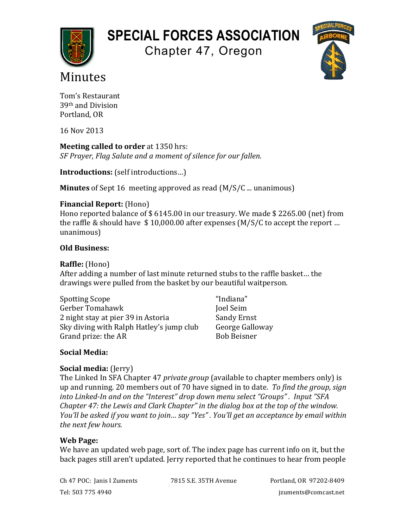# **SPECIAL FORCES ASSOCIATION**

Chapter 47, Oregon



## Minutes

Tom's Restaurant 39th and Division Portland, OR

16 Nov 2013

**Meeting called to order** at 1350 hrs: *SF* Prayer, Flag Salute and a moment of silence for our fallen.

**Introductions:** (self introductions...)

**Minutes** of Sept 16 meeting approved as read (M/S/C ... unanimous)

## **Financial Report:** (Hono)

Hono reported balance of  $$6145.00$  in our treasury. We made  $$2265.00$  (net) from the raffle & should have  $$10,000.00$  after expenses (M/S/C to accept the report ... unanimous)

## **Old Business:**

#### **Raffle:** (Hono)

After adding a number of last minute returned stubs to the raffle basket... the drawings were pulled from the basket by our beautiful waitperson.

| <b>Spotting Scope</b>                    | "Indiana"          |
|------------------------------------------|--------------------|
| Gerber Tomahawk                          | Joel Seim          |
| 2 night stay at pier 39 in Astoria       | Sandy Ernst        |
| Sky diving with Ralph Hatley's jump club | George Galloway    |
| Grand prize: the AR                      | <b>Bob Beisner</b> |

## **Social Media:**

## **Social media:** (Jerry)

The Linked In SFA Chapter 47 *private group* (available to chapter members only) is up and running. 20 members out of 70 have signed in to date. *To find the group, sign into Linked-In and on the "Interest" drop down menu select "Groups", Input "SFA Chapter 47: the Lewis and Clark Chapter"* in the dialog box at the top of the window. *You'll be asked if you want to join... say "Yes". You'll get an acceptance by email within* the next few hours.

## **Web Page:**

We have an updated web page, sort of. The index page has current info on it, but the back pages still aren't updated. Jerry reported that he continues to hear from people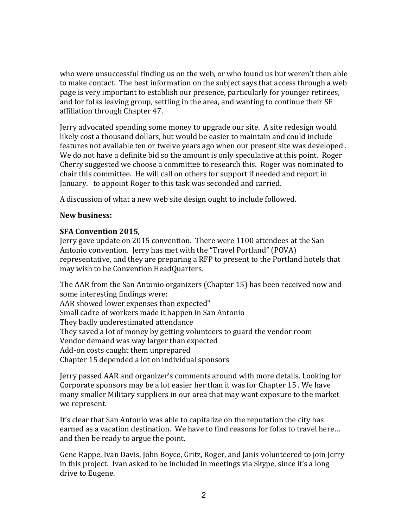who were unsuccessful finding us on the web, or who found us but weren't then able to make contact. The best information on the subject says that access through a web page is very important to establish our presence, particularly for younger retirees, and for folks leaving group, settling in the area, and wanting to continue their SF affiliation through Chapter 47.

Jerry advocated spending some money to upgrade our site. A site redesign would likely cost a thousand dollars, but would be easier to maintain and could include features not available ten or twelve years ago when our present site was developed. We do not have a definite bid so the amount is only speculative at this point. Roger Cherry suggested we choose a committee to research this. Roger was nominated to chair this committee. He will call on others for support if needed and report in January. to appoint Roger to this task was seconded and carried.

A discussion of what a new web site design ought to include followed.

#### **New business:**

#### **SFA Convention 2015**,

Jerry gave update on 2015 convention. There were 1100 attendees at the San Antonio convention. Jerry has met with the "Travel Portland" (POVA) representative, and they are preparing a RFP to present to the Portland hotels that may wish to be Convention HeadQuarters.

The AAR from the San Antonio organizers (Chapter 15) has been received now and some interesting findings were: AAR showed lower expenses than expected" Small cadre of workers made it happen in San Antonio They badly underestimated attendance They saved a lot of money by getting volunteers to guard the vendor room Vendor demand was way larger than expected Add-on costs caught them unprepared

Chapter 15 depended a lot on individual sponsors

Jerry passed AAR and organizer's comments around with more details. Looking for Corporate sponsors may be a lot easier her than it was for Chapter 15. We have many smaller Military suppliers in our area that may want exposure to the market we represent.

It's clear that San Antonio was able to capitalize on the reputation the city has earned as a vacation destination. We have to find reasons for folks to travel here... and then be ready to argue the point.

Gene Rappe, Ivan Davis, John Boyce, Gritz, Roger, and Janis volunteered to join Jerry in this project. Ivan asked to be included in meetings via Skype, since it's a long drive to Eugene.